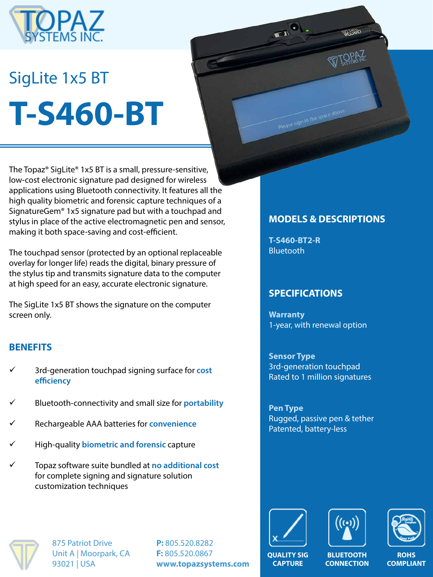

# SigLite 1x5 BT **T-S460-BT**

The Topaz® SigLite® 1x5 BT is a small, pressure-sensitive, low-cost electronic signature pad designed for wireless applications using Bluetooth connectivity. It features all the high quality biometric and forensic capture techniques of a SignatureGem® 1x5 signature pad but with a touchpad and stylus in place of the active electromagnetic pen and sensor, making it both space-saving and cost-efficient.

The touchpad sensor (protected by an optional replaceable overlay for longer life) reads the digital, binary pressure of the stylus tip and transmits signature data to the computer at high speed for an easy, accurate electronic signature.

The SigLite 1x5 BT shows the signature on the computer screen only.

#### **BENEFITS**

- ü 3rd-generation touchpad signing surface for **cost efficiency**
- ü Bluetooth-connectivity and small size for **portability**
- ü Rechargeable AAA batteries for **convenience**
- ü High-quality **biometric and forensic** capture
- ü Topaz software suite bundled at **no additional cost**  for complete signing and signature solution customization techniques

# **MODELS & DESCRIPTIONS**

WISHING

**T-S460-BT2-R** Bluetooth

Please sign in the space above

**THE** 

#### **SPECIFICATIONS**

**Warranty** 1-year, with renewal option

**Sensor Type** 3rd-generation touchpad Rated to 1 million signatures

**Pen Type** Rugged, passive pen & tether Patented, battery-less



875 Patriot Drive Unit A | Moorpark, CA 93021 | USA

**P:** 805.520.8282 **F:** 805.520.0867 **www.topazsystems.com**







**ROHS COMPLIANT**

**QUALITY SIG CAPTURE**

**BLUETOOTH CONNECTION**